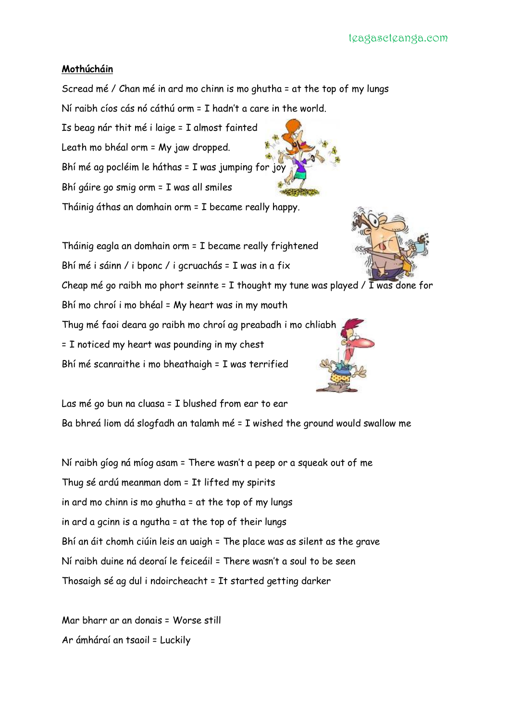## **Mothúcháin**

Scread mé / Chan mé in ard mo chinn is mo ghutha = at the top of my lungs Ní raibh cíos cás nó cáthú orm = I hadn't a care in the world.

Is beag nár thit mé i laige = I almost fainted Leath mo bhéal orm = My jaw dropped. Bhí mé ag pocléim le háthas = I was jumping for joy Bhí gáire go smig orm = I was all smiles Tháinig áthas an domhain orm = I became really happy.



Tháinig eagla an domhain orm = I became really frightened Bhí mé i sáinn / i bponc / i gcruachás = I was in a fix

Cheap mé go raibh mo phort seinnte = I thought my tune was played / I was done for

Bhí mo chroí i mo bhéal = My heart was in my mouth

Thug mé faoi deara go raibh mo chroí ag preabadh i mo chliabh

= I noticed my heart was pounding in my chest

Bhí mé scanraithe i mo bheathaigh = I was terrified





Las mé go bun na cluasa = I blushed from ear to ear Ba bhreá liom dá slogfadh an talamh mé = I wished the ground would swallow me

Ní raibh gíog ná míog asam = There wasn't a peep or a squeak out of me Thug sé ardú meanman dom = It lifted my spirits in ard mo chinn is mo ghutha = at the top of my lungs in ard a gcinn is a ngutha = at the top of their lungs Bhí an áit chomh ciúin leis an uaigh = The place was as silent as the grave Ní raibh duine ná deoraí le feiceáil = There wasn't a soul to be seen Thosaigh sé ag dul i ndoircheacht = It started getting darker

Mar bharr ar an donais = Worse still Ar ámháraí an tsaoil = Luckily